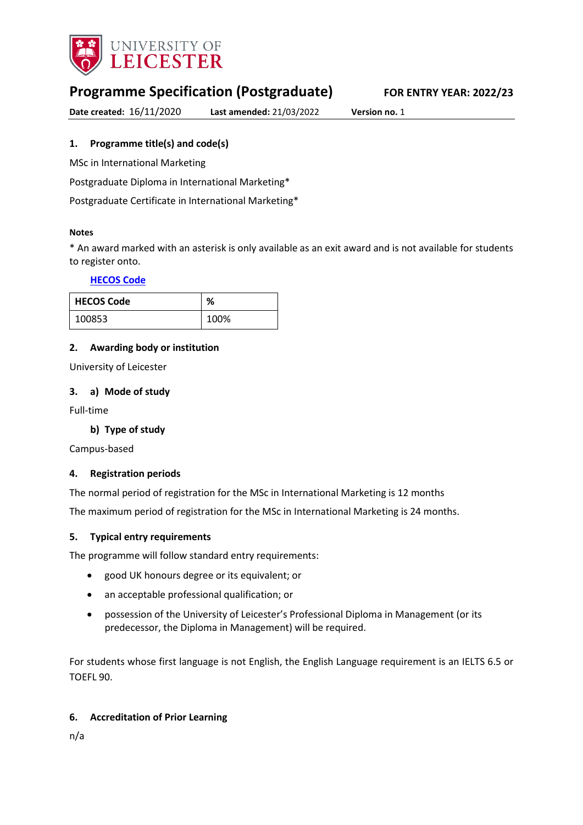

# **Programme Specification (Postgraduate) FOR ENTRY YEAR: 2022/23**

**Date created:** 16/11/2020 **Last amended:** 21/03/2022 **Version no.** 1

# <span id="page-0-0"></span>**1. Programme title(s) and code(s)**

MSc in International Marketing

Postgraduate Diploma in International Marketing\*

Postgraduate Certificate in International Marketing\*

#### **Notes**

\* An award marked with an asterisk is only available as an exit award and is not available for students to register onto.

#### **[HECOS Code](https://www.hesa.ac.uk/innovation/hecos)**

| <b>HECOS Code</b> | %    |
|-------------------|------|
| 100853            | 100% |

# **2. Awarding body or institution**

University of Leicester

#### **3. a) Mode of study**

Full-time

# **b) Type of study**

Campus-based

# **4. Registration periods**

The normal period of registration for the MSc in International Marketing is 12 months

The maximum period of registration for the MSc in International Marketing is 24 months.

#### **5. Typical entry requirements**

The programme will follow standard entry requirements:

- good UK honours degree or its equivalent; or
- an acceptable professional qualification; or
- possession of the University of Leicester's Professional Diploma in Management (or its predecessor, the Diploma in Management) will be required.

For students whose first language is not English, the English Language requirement is an IELTS 6.5 or TOEFL 90.

# **6. Accreditation of Prior Learning**

n/a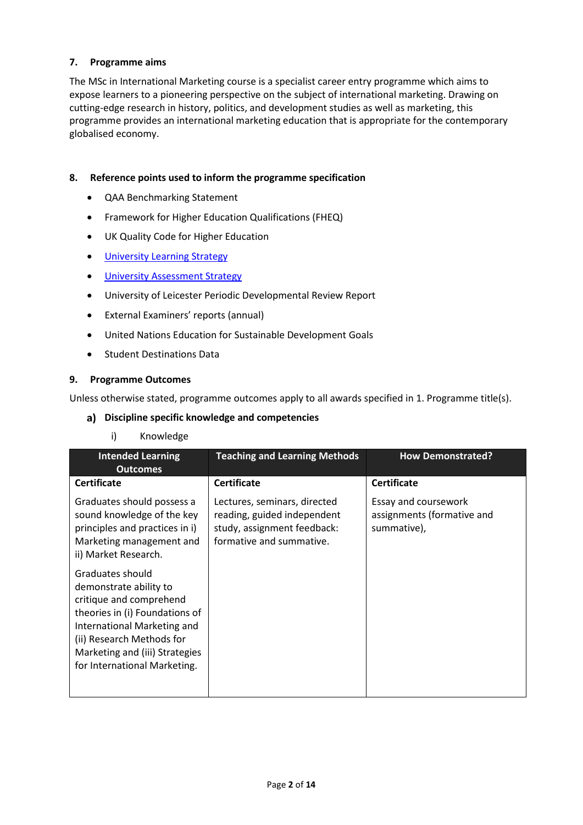# **7. Programme aims**

The MSc in International Marketing course is a specialist career entry programme which aims to expose learners to a pioneering perspective on the subject of international marketing. Drawing on cutting-edge research in history, politics, and development studies as well as marketing, this programme provides an international marketing education that is appropriate for the contemporary globalised economy.

#### **8. Reference points used to inform the programme specification**

- QAA Benchmarking Statement
- Framework for Higher Education Qualifications (FHEQ)
- UK Quality Code for Higher Education
- [University Learning](https://www2.le.ac.uk/offices/sas2/quality/learnteach) Strategy
- [University Assessment Strategy](https://www2.le.ac.uk/offices/sas2/quality/learnteach)
- University of Leicester Periodic Developmental Review Report
- External Examiners' reports (annual)
- United Nations Education for Sustainable Development Goals
- Student Destinations Data

#### **9. Programme Outcomes**

Unless otherwise stated, programme outcomes apply to all awards specified in [1.](#page-0-0) Programme title(s).

#### **Discipline specific knowledge and competencies**

#### i) Knowledge

| <b>Intended Learning</b><br><b>Outcomes</b>                                                                                                                                                                                           | <b>Teaching and Learning Methods</b>                                                                                   | <b>How Demonstrated?</b>                                          |
|---------------------------------------------------------------------------------------------------------------------------------------------------------------------------------------------------------------------------------------|------------------------------------------------------------------------------------------------------------------------|-------------------------------------------------------------------|
| <b>Certificate</b>                                                                                                                                                                                                                    | <b>Certificate</b>                                                                                                     | <b>Certificate</b>                                                |
| Graduates should possess a<br>sound knowledge of the key<br>principles and practices in i)<br>Marketing management and<br>ii) Market Research.                                                                                        | Lectures, seminars, directed<br>reading, guided independent<br>study, assignment feedback:<br>formative and summative. | Essay and coursework<br>assignments (formative and<br>summative), |
| Graduates should<br>demonstrate ability to<br>critique and comprehend<br>theories in (i) Foundations of<br>International Marketing and<br>(ii) Research Methods for<br>Marketing and (iii) Strategies<br>for International Marketing. |                                                                                                                        |                                                                   |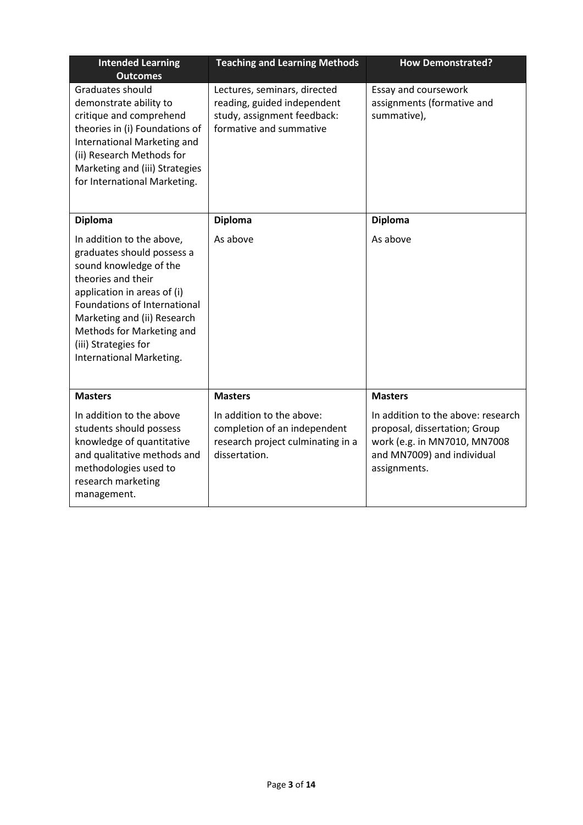| <b>Intended Learning</b><br><b>Outcomes</b>                                                                                                                                                                                                                                            | <b>Teaching and Learning Methods</b>                                                                                  | <b>How Demonstrated?</b>                                                                                                                          |
|----------------------------------------------------------------------------------------------------------------------------------------------------------------------------------------------------------------------------------------------------------------------------------------|-----------------------------------------------------------------------------------------------------------------------|---------------------------------------------------------------------------------------------------------------------------------------------------|
| Graduates should<br>demonstrate ability to<br>critique and comprehend<br>theories in (i) Foundations of<br>International Marketing and<br>(ii) Research Methods for<br>Marketing and (iii) Strategies<br>for International Marketing.                                                  | Lectures, seminars, directed<br>reading, guided independent<br>study, assignment feedback:<br>formative and summative | Essay and coursework<br>assignments (formative and<br>summative),                                                                                 |
| <b>Diploma</b>                                                                                                                                                                                                                                                                         | <b>Diploma</b>                                                                                                        | <b>Diploma</b>                                                                                                                                    |
| In addition to the above,<br>graduates should possess a<br>sound knowledge of the<br>theories and their<br>application in areas of (i)<br>Foundations of International<br>Marketing and (ii) Research<br>Methods for Marketing and<br>(iii) Strategies for<br>International Marketing. | As above                                                                                                              | As above                                                                                                                                          |
| <b>Masters</b>                                                                                                                                                                                                                                                                         | <b>Masters</b>                                                                                                        | <b>Masters</b>                                                                                                                                    |
| In addition to the above<br>students should possess<br>knowledge of quantitative<br>and qualitative methods and<br>methodologies used to<br>research marketing<br>management.                                                                                                          | In addition to the above:<br>completion of an independent<br>research project culminating in a<br>dissertation.       | In addition to the above: research<br>proposal, dissertation; Group<br>work (e.g. in MN7010, MN7008<br>and MN7009) and individual<br>assignments. |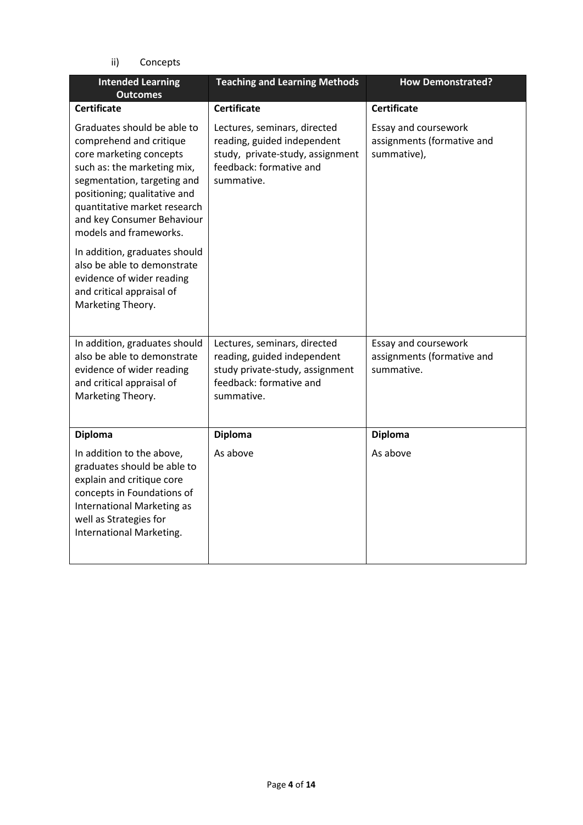ii) Concepts

| <b>Intended Learning</b><br><b>Outcomes</b>                                                                                                                                                                                                                             | <b>Teaching and Learning Methods</b>                                                                                                     | <b>How Demonstrated?</b>                                          |
|-------------------------------------------------------------------------------------------------------------------------------------------------------------------------------------------------------------------------------------------------------------------------|------------------------------------------------------------------------------------------------------------------------------------------|-------------------------------------------------------------------|
| <b>Certificate</b>                                                                                                                                                                                                                                                      | <b>Certificate</b>                                                                                                                       | <b>Certificate</b>                                                |
| Graduates should be able to<br>comprehend and critique<br>core marketing concepts<br>such as: the marketing mix,<br>segmentation, targeting and<br>positioning; qualitative and<br>quantitative market research<br>and key Consumer Behaviour<br>models and frameworks. | Lectures, seminars, directed<br>reading, guided independent<br>study, private-study, assignment<br>feedback: formative and<br>summative. | Essay and coursework<br>assignments (formative and<br>summative), |
| In addition, graduates should<br>also be able to demonstrate<br>evidence of wider reading<br>and critical appraisal of<br>Marketing Theory.                                                                                                                             |                                                                                                                                          |                                                                   |
| In addition, graduates should<br>also be able to demonstrate<br>evidence of wider reading<br>and critical appraisal of<br>Marketing Theory.                                                                                                                             | Lectures, seminars, directed<br>reading, guided independent<br>study private-study, assignment<br>feedback: formative and<br>summative.  | Essay and coursework<br>assignments (formative and<br>summative.  |
| <b>Diploma</b>                                                                                                                                                                                                                                                          | <b>Diploma</b>                                                                                                                           | <b>Diploma</b>                                                    |
| In addition to the above,<br>graduates should be able to<br>explain and critique core<br>concepts in Foundations of<br><b>International Marketing as</b><br>well as Strategies for<br>International Marketing.                                                          | As above                                                                                                                                 | As above                                                          |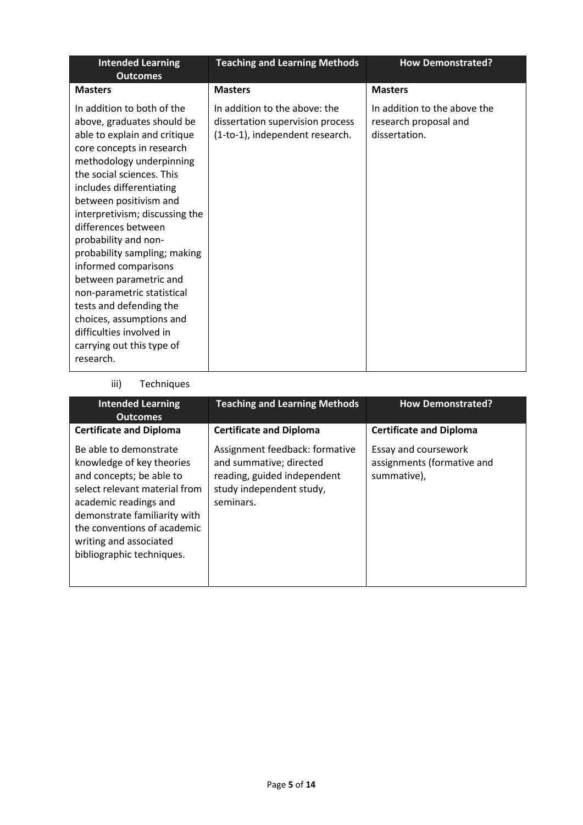| <b>Intended Learning</b><br><b>Outcomes</b>                                                                                                                                                                                                                                                                                                                                                                                                                                                                                                                        | <b>Teaching and Learning Methods</b>                                                                 | <b>How Demonstrated?</b>                                               |
|--------------------------------------------------------------------------------------------------------------------------------------------------------------------------------------------------------------------------------------------------------------------------------------------------------------------------------------------------------------------------------------------------------------------------------------------------------------------------------------------------------------------------------------------------------------------|------------------------------------------------------------------------------------------------------|------------------------------------------------------------------------|
| <b>Masters</b>                                                                                                                                                                                                                                                                                                                                                                                                                                                                                                                                                     | <b>Masters</b>                                                                                       | <b>Masters</b>                                                         |
| In addition to both of the<br>above, graduates should be<br>able to explain and critique<br>core concepts in research<br>methodology underpinning<br>the social sciences. This<br>includes differentiating<br>between positivism and<br>interpretivism; discussing the<br>differences between<br>probability and non-<br>probability sampling; making<br>informed comparisons<br>between parametric and<br>non-parametric statistical<br>tests and defending the<br>choices, assumptions and<br>difficulties involved in<br>carrying out this type of<br>research. | In addition to the above: the<br>dissertation supervision process<br>(1-to-1), independent research. | In addition to the above the<br>research proposal and<br>dissertation. |

# iii) Techniques

| <b>Intended Learning</b><br><b>Outcomes</b>                                                                                                                                                                                                                     | <b>Teaching and Learning Methods</b>                                                                                              | <b>How Demonstrated?</b>                                          |
|-----------------------------------------------------------------------------------------------------------------------------------------------------------------------------------------------------------------------------------------------------------------|-----------------------------------------------------------------------------------------------------------------------------------|-------------------------------------------------------------------|
| <b>Certificate and Diploma</b>                                                                                                                                                                                                                                  | <b>Certificate and Diploma</b>                                                                                                    | <b>Certificate and Diploma</b>                                    |
| Be able to demonstrate<br>knowledge of key theories<br>and concepts; be able to<br>select relevant material from<br>academic readings and<br>demonstrate familiarity with<br>the conventions of academic<br>writing and associated<br>bibliographic techniques. | Assignment feedback: formative<br>and summative; directed<br>reading, guided independent<br>study independent study,<br>seminars. | Essay and coursework<br>assignments (formative and<br>summative), |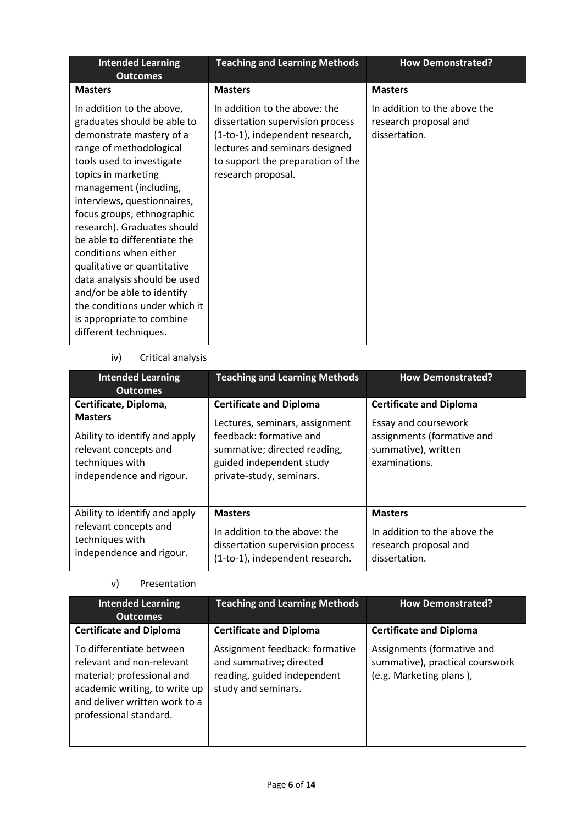| <b>Masters</b><br><b>Masters</b><br><b>Masters</b><br>In addition to the above,<br>In addition to the above: the<br>In addition to the above the<br>graduates should be able to<br>dissertation supervision process<br>research proposal and                                                                                                                                                                                                                                                                                                                                                                                 |  |
|------------------------------------------------------------------------------------------------------------------------------------------------------------------------------------------------------------------------------------------------------------------------------------------------------------------------------------------------------------------------------------------------------------------------------------------------------------------------------------------------------------------------------------------------------------------------------------------------------------------------------|--|
|                                                                                                                                                                                                                                                                                                                                                                                                                                                                                                                                                                                                                              |  |
| (1-to-1), independent research,<br>dissertation.<br>demonstrate mastery of a<br>range of methodological<br>lectures and seminars designed<br>tools used to investigate<br>to support the preparation of the<br>topics in marketing<br>research proposal.<br>management (including,<br>interviews, questionnaires,<br>focus groups, ethnographic<br>research). Graduates should<br>be able to differentiate the<br>conditions when either<br>qualitative or quantitative<br>data analysis should be used<br>and/or be able to identify<br>the conditions under which it<br>is appropriate to combine<br>different techniques. |  |

# iv) Critical analysis

| <b>Intended Learning</b><br><b>Outcomes</b>                                                                                                      | <b>Teaching and Learning Methods</b>                                                                                                                                                | <b>How Demonstrated?</b>                                                                                                     |
|--------------------------------------------------------------------------------------------------------------------------------------------------|-------------------------------------------------------------------------------------------------------------------------------------------------------------------------------------|------------------------------------------------------------------------------------------------------------------------------|
| Certificate, Diploma,<br><b>Masters</b><br>Ability to identify and apply<br>relevant concepts and<br>techniques with<br>independence and rigour. | <b>Certificate and Diploma</b><br>Lectures, seminars, assignment<br>feedback: formative and<br>summative; directed reading,<br>guided independent study<br>private-study, seminars. | <b>Certificate and Diploma</b><br>Essay and coursework<br>assignments (formative and<br>summative), written<br>examinations. |
| Ability to identify and apply<br>relevant concepts and<br>techniques with<br>independence and rigour.                                            | <b>Masters</b><br>In addition to the above: the<br>dissertation supervision process<br>(1-to-1), independent research.                                                              | <b>Masters</b><br>In addition to the above the<br>research proposal and<br>dissertation.                                     |

#### v) Presentation

| <b>Intended Learning</b><br><b>Outcomes</b>                                                                                                                                     | <b>Teaching and Learning Methods</b>                                                                            | <b>How Demonstrated?</b>                                                                 |
|---------------------------------------------------------------------------------------------------------------------------------------------------------------------------------|-----------------------------------------------------------------------------------------------------------------|------------------------------------------------------------------------------------------|
| <b>Certificate and Diploma</b>                                                                                                                                                  | <b>Certificate and Diploma</b>                                                                                  | <b>Certificate and Diploma</b>                                                           |
| To differentiate between<br>relevant and non-relevant<br>material; professional and<br>academic writing, to write up<br>and deliver written work to a<br>professional standard. | Assignment feedback: formative<br>and summative; directed<br>reading, guided independent<br>study and seminars. | Assignments (formative and<br>summative), practical courswork<br>(e.g. Marketing plans), |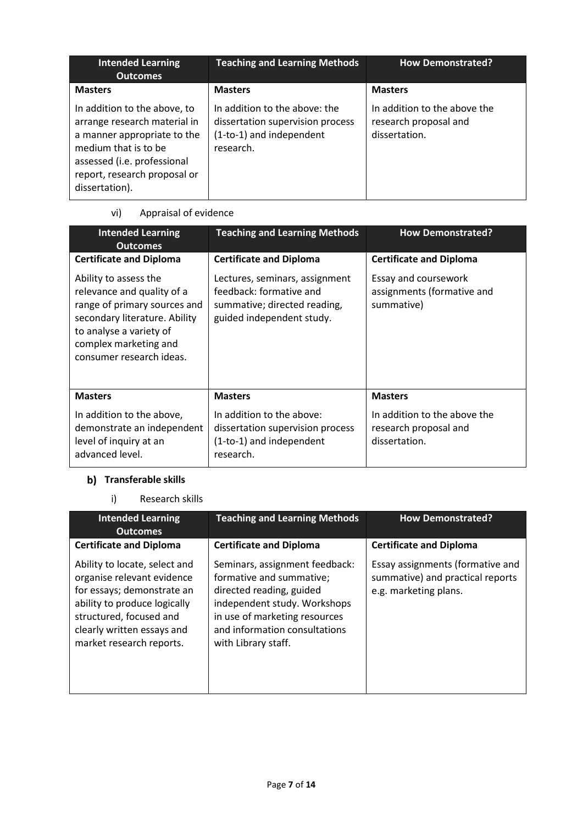| <b>Intended Learning</b><br><b>Outcomes</b>                                                                                                                                                          | <b>Teaching and Learning Methods</b>                                                                       | <b>How Demonstrated?</b>                                               |
|------------------------------------------------------------------------------------------------------------------------------------------------------------------------------------------------------|------------------------------------------------------------------------------------------------------------|------------------------------------------------------------------------|
| <b>Masters</b>                                                                                                                                                                                       | <b>Masters</b>                                                                                             | <b>Masters</b>                                                         |
| In addition to the above, to<br>arrange research material in<br>a manner appropriate to the<br>medium that is to be<br>assessed (i.e. professional<br>report, research proposal or<br>dissertation). | In addition to the above: the<br>dissertation supervision process<br>(1-to-1) and independent<br>research. | In addition to the above the<br>research proposal and<br>dissertation. |

# vi) Appraisal of evidence

| <b>Intended Learning</b><br><b>Outcomes</b>                                                                                                                                                          | <b>Teaching and Learning Methods</b>                                                                                   | <b>How Demonstrated?</b>                                               |
|------------------------------------------------------------------------------------------------------------------------------------------------------------------------------------------------------|------------------------------------------------------------------------------------------------------------------------|------------------------------------------------------------------------|
| <b>Certificate and Diploma</b>                                                                                                                                                                       | <b>Certificate and Diploma</b>                                                                                         | <b>Certificate and Diploma</b>                                         |
| Ability to assess the<br>relevance and quality of a<br>range of primary sources and<br>secondary literature. Ability<br>to analyse a variety of<br>complex marketing and<br>consumer research ideas. | Lectures, seminars, assignment<br>feedback: formative and<br>summative; directed reading,<br>guided independent study. | Essay and coursework<br>assignments (formative and<br>summative)       |
| <b>Masters</b>                                                                                                                                                                                       | <b>Masters</b>                                                                                                         | <b>Masters</b>                                                         |
| In addition to the above,<br>demonstrate an independent<br>level of inquiry at an<br>advanced level.                                                                                                 | In addition to the above:<br>dissertation supervision process<br>(1-to-1) and independent<br>research.                 | In addition to the above the<br>research proposal and<br>dissertation. |

# **Transferable skills**

i) Research skills

| <b>Intended Learning</b><br><b>Outcomes</b>                                                                                                                                                                    | <b>Teaching and Learning Methods</b>                                                                                                                                                                            | <b>How Demonstrated?</b>                                                                      |
|----------------------------------------------------------------------------------------------------------------------------------------------------------------------------------------------------------------|-----------------------------------------------------------------------------------------------------------------------------------------------------------------------------------------------------------------|-----------------------------------------------------------------------------------------------|
| <b>Certificate and Diploma</b>                                                                                                                                                                                 | <b>Certificate and Diploma</b>                                                                                                                                                                                  | <b>Certificate and Diploma</b>                                                                |
| Ability to locate, select and<br>organise relevant evidence<br>for essays; demonstrate an<br>ability to produce logically<br>structured, focused and<br>clearly written essays and<br>market research reports. | Seminars, assignment feedback:<br>formative and summative;<br>directed reading, guided<br>independent study. Workshops<br>in use of marketing resources<br>and information consultations<br>with Library staff. | Essay assignments (formative and<br>summative) and practical reports<br>e.g. marketing plans. |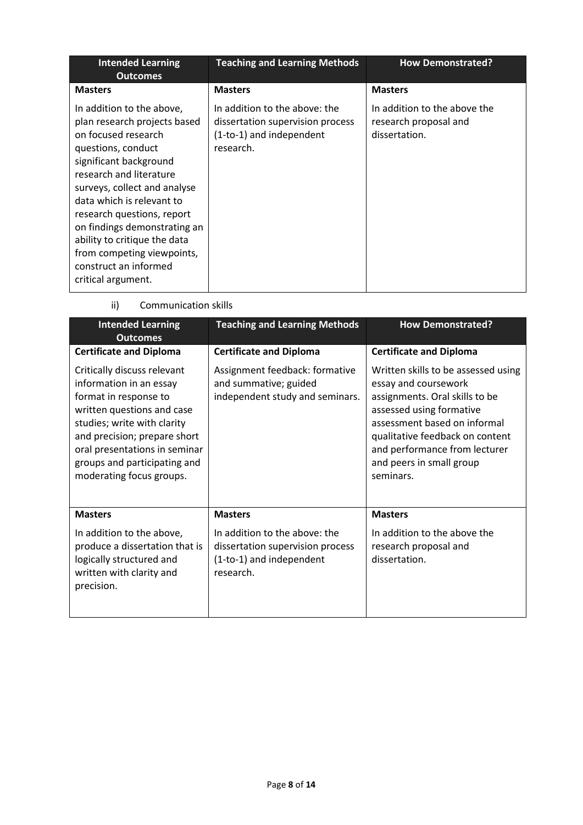| <b>Intended Learning</b><br><b>Outcomes</b>                                                                                                                                                                                                                                                                                                                                                         | <b>Teaching and Learning Methods</b>                                                                       | <b>How Demonstrated?</b>                                               |
|-----------------------------------------------------------------------------------------------------------------------------------------------------------------------------------------------------------------------------------------------------------------------------------------------------------------------------------------------------------------------------------------------------|------------------------------------------------------------------------------------------------------------|------------------------------------------------------------------------|
| <b>Masters</b>                                                                                                                                                                                                                                                                                                                                                                                      | <b>Masters</b>                                                                                             | <b>Masters</b>                                                         |
| In addition to the above,<br>plan research projects based<br>on focused research<br>questions, conduct<br>significant background<br>research and literature<br>surveys, collect and analyse<br>data which is relevant to<br>research questions, report<br>on findings demonstrating an<br>ability to critique the data<br>from competing viewpoints,<br>construct an informed<br>critical argument. | In addition to the above: the<br>dissertation supervision process<br>(1-to-1) and independent<br>research. | In addition to the above the<br>research proposal and<br>dissertation. |

ii) Communication skills

| <b>Intended Learning</b><br><b>Outcomes</b>                                                                                                                                                                                                                               | <b>Teaching and Learning Methods</b>                                                                       | <b>How Demonstrated?</b>                                                                                                                                                                                                                                               |  |
|---------------------------------------------------------------------------------------------------------------------------------------------------------------------------------------------------------------------------------------------------------------------------|------------------------------------------------------------------------------------------------------------|------------------------------------------------------------------------------------------------------------------------------------------------------------------------------------------------------------------------------------------------------------------------|--|
| <b>Certificate and Diploma</b>                                                                                                                                                                                                                                            | <b>Certificate and Diploma</b>                                                                             | <b>Certificate and Diploma</b>                                                                                                                                                                                                                                         |  |
| Critically discuss relevant<br>information in an essay<br>format in response to<br>written questions and case<br>studies; write with clarity<br>and precision; prepare short<br>oral presentations in seminar<br>groups and participating and<br>moderating focus groups. | Assignment feedback: formative<br>and summative; guided<br>independent study and seminars.                 | Written skills to be assessed using<br>essay and coursework<br>assignments. Oral skills to be<br>assessed using formative<br>assessment based on informal<br>qualitative feedback on content<br>and performance from lecturer<br>and peers in small group<br>seminars. |  |
| <b>Masters</b>                                                                                                                                                                                                                                                            | <b>Masters</b>                                                                                             | <b>Masters</b>                                                                                                                                                                                                                                                         |  |
| In addition to the above,<br>produce a dissertation that is<br>logically structured and<br>written with clarity and<br>precision.                                                                                                                                         | In addition to the above: the<br>dissertation supervision process<br>(1-to-1) and independent<br>research. | In addition to the above the<br>research proposal and<br>dissertation.                                                                                                                                                                                                 |  |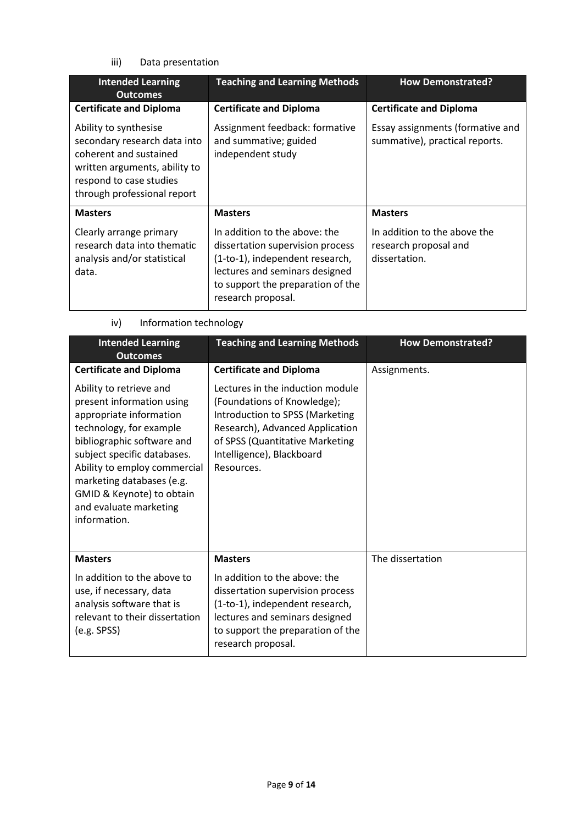iii) Data presentation

| <b>Intended Learning</b><br><b>Outcomes</b>                                                                                                                                | <b>Teaching and Learning Methods</b>                                                                                                                                                                                | <b>How Demonstrated?</b>                                                                 |
|----------------------------------------------------------------------------------------------------------------------------------------------------------------------------|---------------------------------------------------------------------------------------------------------------------------------------------------------------------------------------------------------------------|------------------------------------------------------------------------------------------|
| <b>Certificate and Diploma</b>                                                                                                                                             | <b>Certificate and Diploma</b>                                                                                                                                                                                      | <b>Certificate and Diploma</b>                                                           |
| Ability to synthesise<br>secondary research data into<br>coherent and sustained<br>written arguments, ability to<br>respond to case studies<br>through professional report | Assignment feedback: formative<br>and summative; guided<br>independent study                                                                                                                                        | Essay assignments (formative and<br>summative), practical reports.                       |
| <b>Masters</b><br>Clearly arrange primary<br>research data into thematic<br>analysis and/or statistical<br>data.                                                           | <b>Masters</b><br>In addition to the above: the<br>dissertation supervision process<br>(1-to-1), independent research,<br>lectures and seminars designed<br>to support the preparation of the<br>research proposal. | <b>Masters</b><br>In addition to the above the<br>research proposal and<br>dissertation. |

iv) Information technology

| <b>Intended Learning</b><br><b>Outcomes</b>                                                                                                                                                                                                                                                                 | <b>Teaching and Learning Methods</b>                                                                                                                                                                                | <b>How Demonstrated?</b> |
|-------------------------------------------------------------------------------------------------------------------------------------------------------------------------------------------------------------------------------------------------------------------------------------------------------------|---------------------------------------------------------------------------------------------------------------------------------------------------------------------------------------------------------------------|--------------------------|
| <b>Certificate and Diploma</b>                                                                                                                                                                                                                                                                              | <b>Certificate and Diploma</b>                                                                                                                                                                                      | Assignments.             |
| Ability to retrieve and<br>present information using<br>appropriate information<br>technology, for example<br>bibliographic software and<br>subject specific databases.<br>Ability to employ commercial<br>marketing databases (e.g.<br>GMID & Keynote) to obtain<br>and evaluate marketing<br>information. | Lectures in the induction module<br>(Foundations of Knowledge);<br>Introduction to SPSS (Marketing<br>Research), Advanced Application<br>of SPSS (Quantitative Marketing<br>Intelligence), Blackboard<br>Resources. |                          |
| <b>Masters</b>                                                                                                                                                                                                                                                                                              | <b>Masters</b>                                                                                                                                                                                                      | The dissertation         |
| In addition to the above to<br>use, if necessary, data<br>analysis software that is<br>relevant to their dissertation<br>(e.g. SPSS)                                                                                                                                                                        | In addition to the above: the<br>dissertation supervision process<br>(1-to-1), independent research,<br>lectures and seminars designed<br>to support the preparation of the<br>research proposal.                   |                          |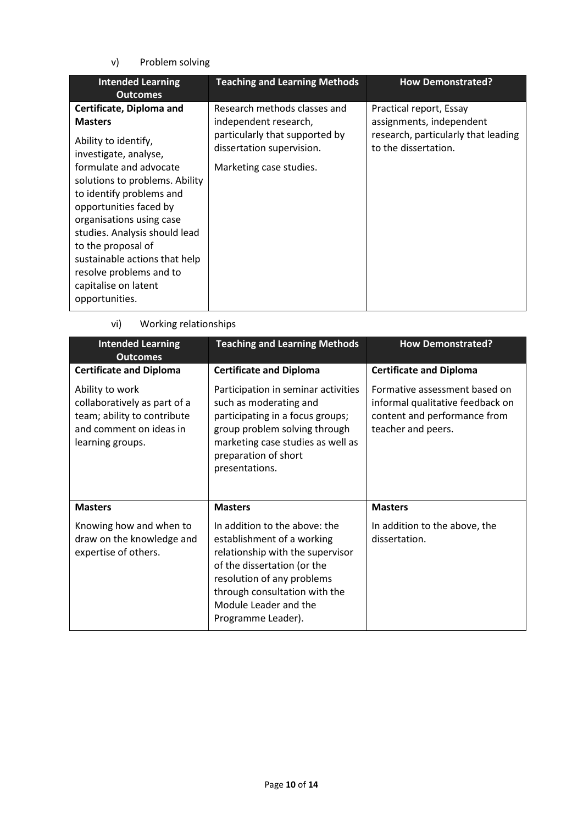v) Problem solving

| <b>Intended Learning</b><br><b>Outcomes</b>                                                                                                                                                                                                                                                                                                                                                            | <b>Teaching and Learning Methods</b>                                                                                                            | <b>How Demonstrated?</b>                                                                                           |
|--------------------------------------------------------------------------------------------------------------------------------------------------------------------------------------------------------------------------------------------------------------------------------------------------------------------------------------------------------------------------------------------------------|-------------------------------------------------------------------------------------------------------------------------------------------------|--------------------------------------------------------------------------------------------------------------------|
| Certificate, Diploma and<br><b>Masters</b><br>Ability to identify,<br>investigate, analyse,<br>formulate and advocate<br>solutions to problems. Ability<br>to identify problems and<br>opportunities faced by<br>organisations using case<br>studies. Analysis should lead<br>to the proposal of<br>sustainable actions that help<br>resolve problems and to<br>capitalise on latent<br>opportunities. | Research methods classes and<br>independent research,<br>particularly that supported by<br>dissertation supervision.<br>Marketing case studies. | Practical report, Essay<br>assignments, independent<br>research, particularly that leading<br>to the dissertation. |

vi) Working relationships

| <b>Intended Learning</b><br><b>Outcomes</b>                                                                                   | <b>Teaching and Learning Methods</b>                                                                                                                                                                                                         |                                                                                                                         |  |
|-------------------------------------------------------------------------------------------------------------------------------|----------------------------------------------------------------------------------------------------------------------------------------------------------------------------------------------------------------------------------------------|-------------------------------------------------------------------------------------------------------------------------|--|
| <b>Certificate and Diploma</b>                                                                                                | <b>Certificate and Diploma</b>                                                                                                                                                                                                               | <b>Certificate and Diploma</b>                                                                                          |  |
| Ability to work<br>collaboratively as part of a<br>team; ability to contribute<br>and comment on ideas in<br>learning groups. | Participation in seminar activities<br>such as moderating and<br>participating in a focus groups;<br>group problem solving through<br>marketing case studies as well as<br>preparation of short<br>presentations.                            | Formative assessment based on<br>informal qualitative feedback on<br>content and performance from<br>teacher and peers. |  |
| <b>Masters</b>                                                                                                                | <b>Masters</b>                                                                                                                                                                                                                               | <b>Masters</b>                                                                                                          |  |
| Knowing how and when to<br>draw on the knowledge and<br>expertise of others.                                                  | In addition to the above: the<br>establishment of a working<br>relationship with the supervisor<br>of the dissertation (or the<br>resolution of any problems<br>through consultation with the<br>Module Leader and the<br>Programme Leader). | In addition to the above, the<br>dissertation.                                                                          |  |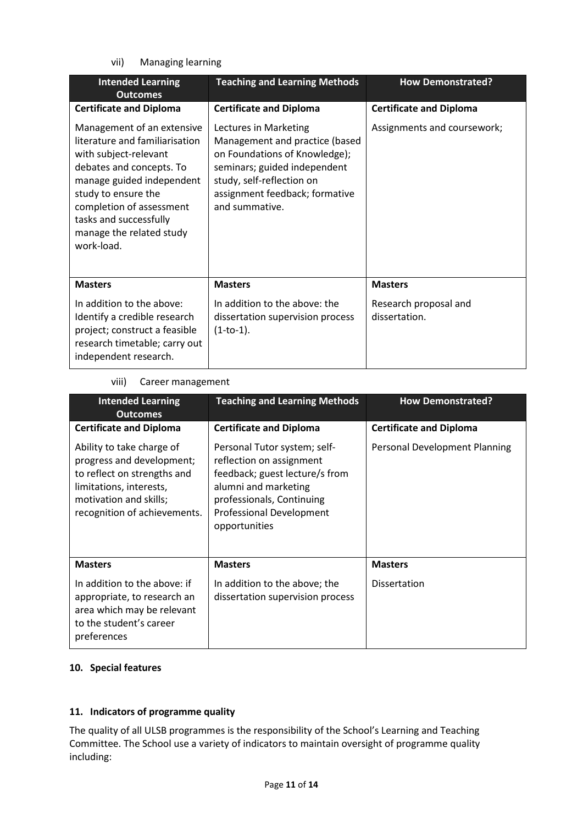vii) Managing learning

| <b>Intended Learning</b><br><b>Outcomes</b>                                                                                                                                                                                                                           | <b>Teaching and Learning Methods</b>                                                                                                                                                                      | <b>How Demonstrated?</b>               |
|-----------------------------------------------------------------------------------------------------------------------------------------------------------------------------------------------------------------------------------------------------------------------|-----------------------------------------------------------------------------------------------------------------------------------------------------------------------------------------------------------|----------------------------------------|
| <b>Certificate and Diploma</b>                                                                                                                                                                                                                                        | <b>Certificate and Diploma</b>                                                                                                                                                                            | <b>Certificate and Diploma</b>         |
| Management of an extensive<br>literature and familiarisation<br>with subject-relevant<br>debates and concepts. To<br>manage guided independent<br>study to ensure the<br>completion of assessment<br>tasks and successfully<br>manage the related study<br>work-load. | Lectures in Marketing<br>Management and practice (based<br>on Foundations of Knowledge);<br>seminars; guided independent<br>study, self-reflection on<br>assignment feedback; formative<br>and summative. | Assignments and coursework;            |
| <b>Masters</b>                                                                                                                                                                                                                                                        | <b>Masters</b>                                                                                                                                                                                            | <b>Masters</b>                         |
| In addition to the above:<br>Identify a credible research<br>project; construct a feasible<br>research timetable; carry out<br>independent research.                                                                                                                  | In addition to the above: the<br>dissertation supervision process<br>$(1-to-1).$                                                                                                                          | Research proposal and<br>dissertation. |

#### viii) Career management

| <b>Intended Learning</b>                                                                                                                                                   | <b>Teaching and Learning Methods</b>                                                                                                                                                         | <b>How Demonstrated?</b>       |
|----------------------------------------------------------------------------------------------------------------------------------------------------------------------------|----------------------------------------------------------------------------------------------------------------------------------------------------------------------------------------------|--------------------------------|
| <b>Outcomes</b>                                                                                                                                                            |                                                                                                                                                                                              |                                |
| <b>Certificate and Diploma</b>                                                                                                                                             | <b>Certificate and Diploma</b>                                                                                                                                                               | <b>Certificate and Diploma</b> |
| Ability to take charge of<br>progress and development;<br>to reflect on strengths and<br>limitations, interests,<br>motivation and skills;<br>recognition of achievements. | Personal Tutor system; self-<br>reflection on assignment<br>feedback; guest lecture/s from<br>alumni and marketing<br>professionals, Continuing<br>Professional Development<br>opportunities | Personal Development Planning  |
| <b>Masters</b>                                                                                                                                                             | <b>Masters</b>                                                                                                                                                                               | <b>Masters</b>                 |
| In addition to the above: if<br>appropriate, to research an<br>area which may be relevant<br>to the student's career<br>preferences                                        | In addition to the above; the<br>dissertation supervision process                                                                                                                            | Dissertation                   |

#### **10. Special features**

# **11. Indicators of programme quality**

The quality of all ULSB programmes is the responsibility of the School's Learning and Teaching Committee. The School use a variety of indicators to maintain oversight of programme quality including: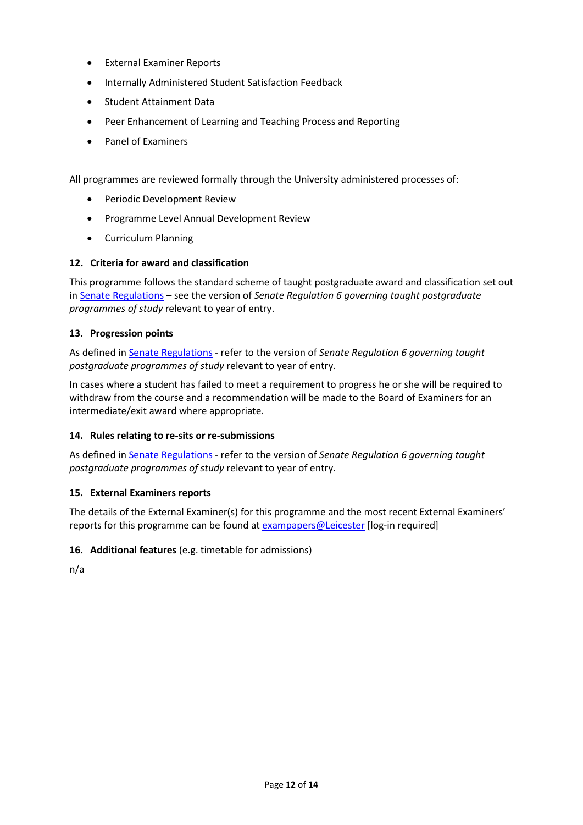- External Examiner Reports
- Internally Administered Student Satisfaction Feedback
- Student Attainment Data
- Peer Enhancement of Learning and Teaching Process and Reporting
- Panel of Examiners

All programmes are reviewed formally through the University administered processes of:

- Periodic Development Review
- Programme Level Annual Development Review
- Curriculum Planning

# **12. Criteria for award and classification**

This programme follows the standard scheme of taught postgraduate award and classification set out i[n Senate Regulations](http://www.le.ac.uk/senate-regulations) – see the version of *Senate Regulation 6 governing taught postgraduate programmes of study* relevant to year of entry.

# **13. Progression points**

As defined i[n Senate Regulations](http://www.le.ac.uk/senate-regulation6) - refer to the version of *Senate Regulation 6 governing taught postgraduate programmes of study* relevant to year of entry.

In cases where a student has failed to meet a requirement to progress he or she will be required to withdraw from the course and a recommendation will be made to the Board of Examiners for an intermediate/exit award where appropriate.

# **14. Rules relating to re-sits or re-submissions**

As defined i[n Senate Regulations](http://www.le.ac.uk/senate-regulation6) - refer to the version of *Senate Regulation 6 governing taught postgraduate programmes of study* relevant to year of entry.

# **15. External Examiners reports**

The details of the External Examiner(s) for this programme and the most recent External Examiners' reports for this programme can be found at **exampapers@Leicester** [log-in required]

# **16. Additional features** (e.g. timetable for admissions)

n/a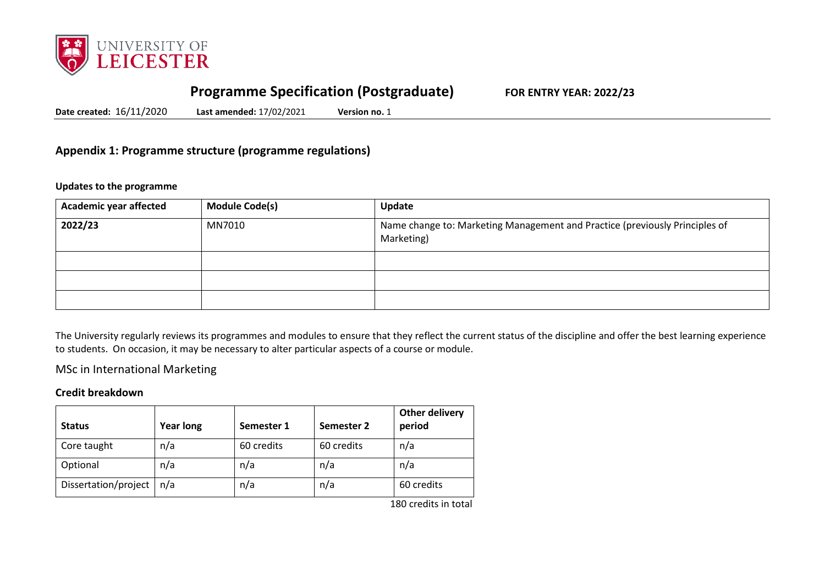

# **Programme Specification (Postgraduate) FOR ENTRY YEAR: 2022/23**

**Date created:** 16/11/2020 **Last amended:** 17/02/2021 **Version no.** 1

# **Appendix 1: Programme structure (programme regulations)**

#### **Updates to the programme**

| <b>Academic year affected</b> | <b>Module Code(s)</b> | Update                                                                                    |
|-------------------------------|-----------------------|-------------------------------------------------------------------------------------------|
| 2022/23                       | MN7010                | Name change to: Marketing Management and Practice (previously Principles of<br>Marketing) |
|                               |                       |                                                                                           |
|                               |                       |                                                                                           |
|                               |                       |                                                                                           |

The University regularly reviews its programmes and modules to ensure that they reflect the current status of the discipline and offer the best learning experience to students. On occasion, it may be necessary to alter particular aspects of a course or module.

# MSc in International Marketing

### **Credit breakdown**

| <b>Status</b>        | <b>Year long</b> | Semester 1 | Semester 2 | <b>Other delivery</b><br>period |
|----------------------|------------------|------------|------------|---------------------------------|
| Core taught          | n/a              | 60 credits | 60 credits | n/a                             |
| Optional             | n/a              | n/a        | n/a        | n/a                             |
| Dissertation/project | n/a              | n/a        | n/a        | 60 credits                      |

180 credits in total